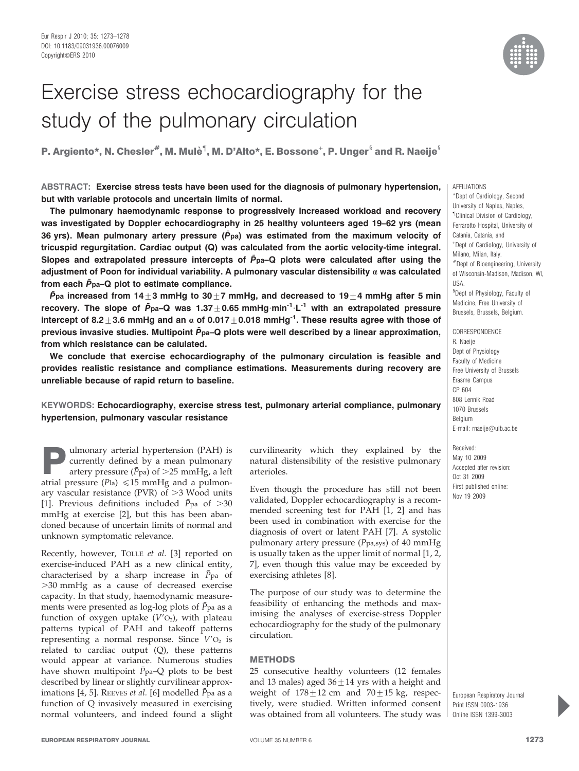

# Exercise stress echocardiography for the study of the pulmonary circulation

P. Argiento\*, N. Chesler $^{\#}$ , M. Mulè $^{\P}$ , M. D'Alto\*, E. Bossone $^+$ , P. Unger $^{\S}$  and R. Naeije $^{\S}$ 

ABSTRACT: Exercise stress tests have been used for the diagnosis of pulmonary hypertension, but with variable protocols and uncertain limits of normal.

The pulmonary haemodynamic response to progressively increased workload and recovery was investigated by Doppler echocardiography in 25 healthy volunteers aged 19–62 yrs (mean 36 yrs). Mean pulmonary artery pressure ( $\bar{P}_{pa}$ ) was estimated from the maximum velocity of tricuspid regurgitation. Cardiac output (Q) was calculated from the aortic velocity-time integral. Slopes and extrapolated pressure intercepts of  $\bar{P}_{pa}$ –Q plots were calculated after using the adjustment of Poon for individual variability. A pulmonary vascular distensibility  $\alpha$  was calculated from each  $\bar{P}_{pa}$ –Q plot to estimate compliance.

 $\bar{P}_{pa}$  increased from 14 $\pm 3$  mmHg to 30 $\pm 7$  mmHg, and decreased to 19 $\pm 4$  mmHg after 5 min recovery. The slope of  $\bar{P}_{pa}-Q$  was 1.37 + 0.65 mmHg $\cdot$ min<sup>-1</sup> $\cdot$ L<sup>-1</sup> with an extrapolated pressure intercept of 8.2 $\pm$ 3.6 mmHg and an  $\alpha$  of 0.017 $\pm$ 0.018 mmHg<sup>-1</sup>. These results agree with those of previous invasive studies. Multipoint  $\bar{P}_{pa}$ -Q plots were well described by a linear approximation, from which resistance can be calulated.

We conclude that exercise echocardiography of the pulmonary circulation is feasible and provides realistic resistance and compliance estimations. Measurements during recovery are unreliable because of rapid return to baseline.

## KEYWORDS: Echocardiography, exercise stress test, pulmonary arterial compliance, pulmonary hypertension, pulmonary vascular resistance

**Pulmonary arterial hypertension (PAH) is<br>currently defined by a mean pulmonary<br>artery pressure (** $\bar{P}_{pa}$ **) of >25 mmHg, a left<br>atrial pressure (** $P_{ba}$ **) < 15 mmHg and a pulmon** currently defined by a mean pulmonary artery pressure ( $\bar{P}_{pa}$ ) of  $>25$  mmHg, a left atrial pressure ( $Pla$ )  $\leq 15$  mmHg and a pulmonary vascular resistance (PVR) of  $>3$  Wood units [1]. Previous definitions included  $\bar{P}_{pa}$  of  $>30$ mmHg at exercise [2], but this has been abandoned because of uncertain limits of normal and unknown symptomatic relevance.

Recently, however, TOLLE et al. [3] reported on exercise-induced PAH as a new clinical entity, characterised by a sharp increase in  $\bar{P}_{pa}$  of .30 mmHg as a cause of decreased exercise capacity. In that study, haemodynamic measurements were presented as log-log plots of  $\bar{P}_{\text{pa}}$  as a function of oxygen uptake  $(V'O<sub>2</sub>)$ , with plateau patterns typical of PAH and takeoff patterns representing a normal response. Since  $V'O<sub>2</sub>$  is related to cardiac output (Q), these patterns would appear at variance. Numerous studies have shown multipoint  $\bar{P}_{pa}$ -Q plots to be best described by linear or slightly curvilinear approximations [4, 5]. REEVES et al. [6] modelled  $\bar{P}_{\text{pa}}$  as a function of Q invasively measured in exercising normal volunteers, and indeed found a slight curvilinearity which they explained by the natural distensibility of the resistive pulmonary arterioles.

Even though the procedure has still not been validated, Doppler echocardiography is a recommended screening test for PAH [1, 2] and has been used in combination with exercise for the diagnosis of overt or latent PAH [7]. A systolic pulmonary artery pressure ( $P_{\text{pa,sys}}$ ) of 40 mmHg is usually taken as the upper limit of normal [1, 2, 7], even though this value may be exceeded by exercising athletes [8].

The purpose of our study was to determine the feasibility of enhancing the methods and maximising the analyses of exercise-stress Doppler echocardiography for the study of the pulmonary circulation.

#### **METHODS**

25 consecutive healthy volunteers (12 females and 13 males) aged  $36 \pm 14$  yrs with a height and weight of  $178 \pm 12$  cm and  $70 \pm 15$  kg, respectively, were studied. Written informed consent was obtained from all volunteers. The study was

AFFILIATIONS

\*Dept of Cardiology, Second University of Naples, Naples, " Clinical Division of Cardiology, Ferrarotto Hospital, University of Catania, Catania, and + Dept of Cardiology, University of Milano, Milan, Italy. #Dept of Bioengineering, University of Wisconsin-Madison, Madison, WI, USA. <sup>§</sup>Dept of Physiology, Faculty of Medicine, Free University of Brussels, Brussels, Belgium. **CORRESPONDENCE** 

R. Naeije Dept of Physiology Faculty of Medicine Free University of Brussels Erasme Campus CP 604 808 Lennik Road 1070 Brussels Belgium E-mail: rnaeije@ulb.ac.be

Received: May 10 2009 Accepted after revision: Oct 31 2009 First published online: Nov 19 2009

European Respiratory Journal Print ISSN 0903-1936 Online ISSN 1399-3003

P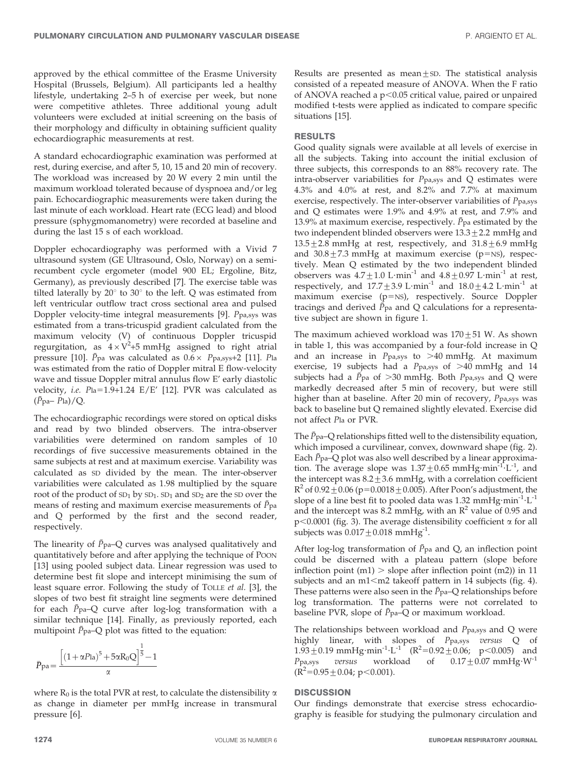approved by the ethical committee of the Erasme University Hospital (Brussels, Belgium). All participants led a healthy lifestyle, undertaking 2–5 h of exercise per week, but none were competitive athletes. Three additional young adult volunteers were excluded at initial screening on the basis of their morphology and difficulty in obtaining sufficient quality echocardiographic measurements at rest.

A standard echocardiographic examination was performed at rest, during exercise, and after 5, 10, 15 and 20 min of recovery. The workload was increased by 20 W every 2 min until the maximum workload tolerated because of dyspnoea and/or leg pain. Echocardiographic measurements were taken during the last minute of each workload. Heart rate (ECG lead) and blood pressure (sphygmomanometry) were recorded at baseline and during the last 15 s of each workload.

Doppler echocardiography was performed with a Vivid 7 ultrasound system (GE Ultrasound, Oslo, Norway) on a semirecumbent cycle ergometer (model 900 EL; Ergoline, Bitz, Germany), as previously described [7]. The exercise table was tilted laterally by  $20^{\circ}$  to  $30^{\circ}$  to the left. O was estimated from left ventricular outflow tract cross sectional area and pulsed Doppler velocity-time integral measurements [9]. Ppa,sys was estimated from a trans-tricuspid gradient calculated from the maximum velocity (V) of continuous Doppler tricuspid regurgitation, as  $4 \times V^2 + 5$  mmHg assigned to right atrial pressure [10].  $\bar{P}_{pa}$  was calculated as  $0.6 \times P_{pa,sys+2}$  [11]. Pla was estimated from the ratio of Doppler mitral E flow-velocity wave and tissue Doppler mitral annulus flow E' early diastolic velocity, i.e.  $Pia=1.9+1.24$  E/E' [12]. PVR was calculated as  $(\bar{P}_{\text{pa}} - P_{\text{la}})/Q$ .

The echocardiographic recordings were stored on optical disks and read by two blinded observers. The intra-observer variabilities were determined on random samples of 10 recordings of five successive measurements obtained in the same subjects at rest and at maximum exercise. Variability was calculated as SD divided by the mean. The inter-observer variabilities were calculated as 1.98 multiplied by the square root of the product of  $SD_1$  by  $SD_1$ .  $SD_1$  and  $SD_2$  are the SD over the means of resting and maximum exercise measurements of  $\bar{P}_{pa}$ and Q performed by the first and the second reader, respectively.

The linearity of  $\bar{P}_{pa}$ –Q curves was analysed qualitatively and quantitatively before and after applying the technique of POON [13] using pooled subject data. Linear regression was used to determine best fit slope and intercept minimising the sum of least square error. Following the study of TOLLE et al. [3], the slopes of two best fit straight line segments were determined for each  $\bar{P}$  pa–Q curve after log-log transformation with a similar technique [14]. Finally, as previously reported, each multipoint  $\bar{P}_{pa}$ –Q plot was fitted to the equation:

$$
\bar{P}_{pa} = \frac{\left[ \left(1 + \alpha P_{la}\right)^{5} + 5\alpha R_{0}Q \right]^{\frac{1}{5}} - 1}{\alpha}
$$

where  $R_0$  is the total PVR at rest, to calculate the distensibility  $\alpha$ as change in diameter per mmHg increase in transmural pressure [6].

Results are presented as mean $\pm$ SD. The statistical analysis consisted of a repeated measure of ANOVA. When the F ratio of ANOVA reached a  $p<0.05$  critical value, paired or unpaired modified t-tests were applied as indicated to compare specific situations [15].

## RESULTS

Good quality signals were available at all levels of exercise in all the subjects. Taking into account the initial exclusion of three subjects, this corresponds to an 88% recovery rate. The intra-observer variabilities for Ppa,sys and Q estimates were 4.3% and 4.0% at rest, and 8.2% and 7.7% at maximum exercise, respectively. The inter-observer variabilities of Ppa,sys and Q estimates were 1.9% and 4.9% at rest, and 7.9% and 13.9% at maximum exercise, respectively.  $\bar{P}_{pa}$  estimated by the two independent blinded observers were  $13.3 \pm 2.2$  mmHg and  $13.5 \pm 2.8$  mmHg at rest, respectively, and  $31.8 \pm 6.9$  mmHg and  $30.8 + 7.3$  mmHg at maximum exercise (p=NS), respectively. Mean Q estimated by the two independent blinded observers was  $4.7 \pm 1.0$  L·min<sup>-1</sup> and  $4.8 \pm 0.97$  L·min<sup>-1</sup> at rest, respectively, and  $17.7 \pm 3.9$  L·min<sup>-1</sup> and  $18.0 \pm 4.2$  L·min<sup>-1</sup> at maximum exercise  $(p=NS)$ , respectively. Source Doppler tracings and derived  $\bar{P}_{pa}$  and Q calculations for a representative subject are shown in figure 1.

The maximum achieved workload was  $170+51$  W. As shown in table 1, this was accompanied by a four-fold increase in Q and an increase in  $P_{\text{pa,sys}}$  to  $>40$  mmHg. At maximum exercise, 19 subjects had a  $P_{pa,sys}$  of  $>40$  mmHg and 14 subjects had a  $\bar{P}_{pa}$  of >30 mmHg. Both  $P_{pa,sys}$  and Q were markedly decreased after 5 min of recovery, but were still higher than at baseline. After 20 min of recovery, Ppa,sys was back to baseline but Q remained slightly elevated. Exercise did not affect Pla or PVR.

The  $\bar{P}_{pa}$ -Q relationships fitted well to the distensibility equation, which imposed a curvilinear, convex, downward shape (fig. 2). Each  $\bar{P}_{pa}$ –Q plot was also well described by a linear approximation. The average slope was  $1.37 \pm 0.65$  mmHg·min<sup>-1</sup>·L<sup>-1</sup>, and the intercept was  $8.2 \pm 3.6$  mmHg, with a correlation coefficient  $R^2$  of 0.92  $\pm$  0.06 (p=0.0018  $\pm$  0.005). After Poon's adjustment, the slope of a line best fit to pooled data was 1.32 mmHg $\cdot$ min<sup>-1</sup> $\cdot$ L<sup>-1</sup> and the intercept was 8.2 mmHg, with an  $\mathbb{R}^2$  value of 0.95 and  $p<0.0001$  (fig. 3). The average distensibility coefficient  $\alpha$  for all subjects was  $0.017 \pm 0.018$  mmHg<sup>-1</sup>.

After log-log transformation of  $\bar{P}_{pa}$  and Q, an inflection point could be discerned with a plateau pattern (slope before inflection point  $(m1)$  > slope after inflection point  $(m2)$ ) in 11 subjects and an  $m1$ < $m2$  takeoff pattern in 14 subjects (fig. 4). These patterns were also seen in the  $\bar{P}_{pa}$ -Q relationships before log transformation. The patterns were not correlated to baseline PVR, slope of  $\bar{P}_{pa}$ –Q or maximum workload.

The relationships between workload and Ppa,sys and Q were highly linear, with slopes of Ppa,sys versus Q of  $1.93 \pm 0.19$  mmHg·min<sup>-1</sup>·L<sup>-1</sup> (R<sup>2</sup>=0.92  $\pm$ 0.06; p<0.005) and  $P_{\text{pa,sys}}$  versus workload of  $0.17 \pm 0.07 \text{ mmHg} \cdot \text{W}^{-1}$  $(R^2=0.95\pm0.04; p<0.001).$ 

## **DISCUSSION**

Our findings demonstrate that exercise stress echocardiography is feasible for studying the pulmonary circulation and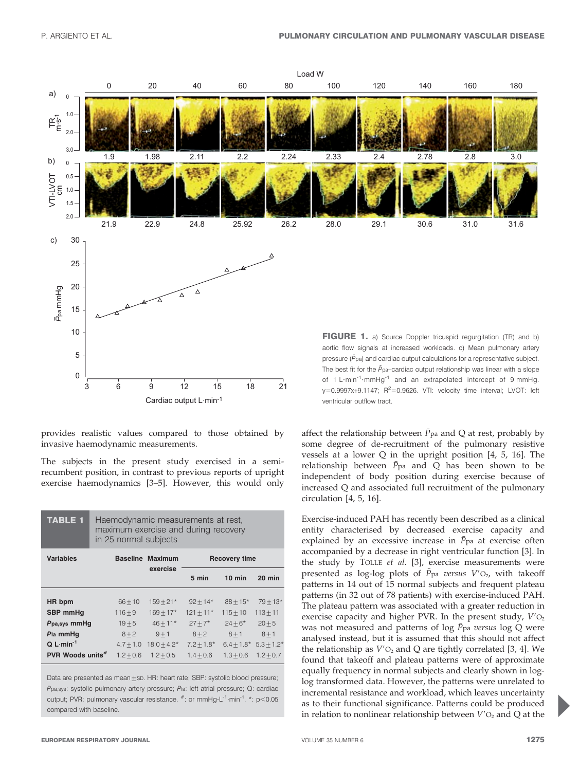

provides realistic values compared to those obtained by invasive haemodynamic measurements.

The subjects in the present study exercised in a semirecumbent position, in contrast to previous reports of upright exercise haemodynamics [3–5]. However, this would only

| <b>TABLE 1</b>               | Haemodynamic measurements at rest,<br>maximum exercise and during recovery<br>in 25 normal subjects |                         |                |              |              |
|------------------------------|-----------------------------------------------------------------------------------------------------|-------------------------|----------------|--------------|--------------|
| <b>Variables</b>             |                                                                                                     | <b>Baseline Maximum</b> | Recovery time  |              |              |
|                              |                                                                                                     | exercise                | 5 min          | $10$ min     | $20$ min     |
| HR bpm                       | $66 + 10$                                                                                           | $159 + 21*$             | $92 + 14*$     | $88 + 15*$   | $79 + 13*$   |
| SBP mmHq                     | $116 + 9$                                                                                           | $169 + 17*$             | $121 + 11*$    | $115 + 10$   | $113 + 11$   |
| Ppa, sys mmHq                | $19 + 5$                                                                                            | $46 + 11*$              | $27 + 7*$      | $24 + 6*$    | $20 + 5$     |
| Pla mmHq                     | $8 + 2$                                                                                             | $9 + 1$                 | $8 + 2$        | $8 + 1$      | $8 + 1$      |
| $Q$ L min <sup>-1</sup>      | $4.7 + 1.0$                                                                                         | $18.0 + 4.2*$           | $7.2 \pm 1.8*$ | $6.4 + 1.8*$ | $5.3 + 1.2*$ |
| PVR Woods units <sup>#</sup> | $1.2 + 0.6$                                                                                         | $1.2 + 0.5$             | $1.4 + 0.6$    | $1.3 + 0.6$  | $1.2 + 0.7$  |

Data are presented as mean $\pm$ sp. HR: heart rate; SBP: systolic blood pressure; Ppa,sys: systolic pulmonary artery pressure; Pla: left atrial pressure; Q: cardiac output; PVR: pulmonary vascular resistance.  $*$ : or mmHg·L<sup>-1</sup>·min<sup>-1</sup>.  $*$ : p<0.05 compared with baseline.

affect the relationship between  $\bar{P}_{pa}$  and Q at rest, probably by some degree of de-recruitment of the pulmonary resistive vessels at a lower Q in the upright position [4, 5, 16]. The relationship between  $\bar{P}_{pa}$  and Q has been shown to be independent of body position during exercise because of increased Q and associated full recruitment of the pulmonary circulation [4, 5, 16].

Exercise-induced PAH has recently been described as a clinical entity characterised by decreased exercise capacity and explained by an excessive increase in  $\bar{P}_{pa}$  at exercise often accompanied by a decrease in right ventricular function [3]. In the study by TOLLE et al. [3], exercise measurements were presented as log-log plots of  $\bar{P}_{pa}$  versus  $V'O_2$ , with takeoff patterns in 14 out of 15 normal subjects and frequent plateau patterns (in 32 out of 78 patients) with exercise-induced PAH. The plateau pattern was associated with a greater reduction in exercise capacity and higher PVR. In the present study,  $V'O<sub>2</sub>$ was not measured and patterns of log  $\bar{P}$  pa versus log Q were analysed instead, but it is assumed that this should not affect the relationship as  $V'O_2$  and Q are tightly correlated [3, 4]. We found that takeoff and plateau patterns were of approximate equally frequency in normal subjects and clearly shown in loglog transformed data. However, the patterns were unrelated to incremental resistance and workload, which leaves uncertainty as to their functional significance. Patterns could be produced in relation to nonlinear relationship between  $V'O<sub>2</sub>$  and Q at the

P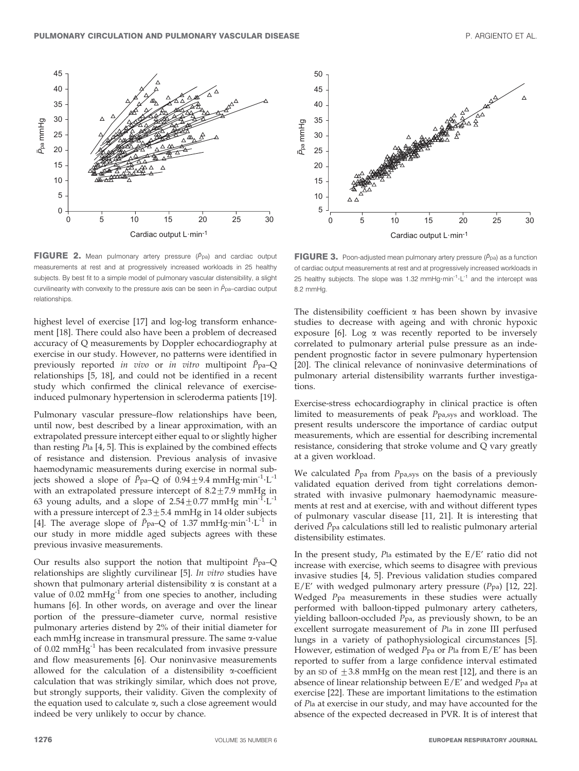

FIGURE 2. Mean pulmonary artery pressure  $(\bar{P}_{\text{pa}})$  and cardiac output measurements at rest and at progressively increased workloads in 25 healthy subjects. By best fit to a simple model of pulmonary vascular distensibility, a slight curvilinearity with convexity to the pressure axis can be seen in  $\bar{P}_{pa}$ –cardiac output relationships.

highest level of exercise [17] and log-log transform enhancement [18]. There could also have been a problem of decreased accuracy of Q measurements by Doppler echocardiography at exercise in our study. However, no patterns were identified in previously reported in vivo or in vitro multipoint  $\bar{P}_{pa}$ -Q relationships [5, 18], and could not be identified in a recent study which confirmed the clinical relevance of exerciseinduced pulmonary hypertension in scleroderma patients [19].

Pulmonary vascular pressure–flow relationships have been, until now, best described by a linear approximation, with an extrapolated pressure intercept either equal to or slightly higher than resting Pla [4, 5]. This is explained by the combined effects of resistance and distension. Previous analysis of invasive haemodynamic measurements during exercise in normal subjects showed a slope of  $\bar{P}_{pa}$ –Q of 0.94 $\pm$ 9.4 mmHg·min<sup>-1</sup>·L<sup>-1</sup> with an extrapolated pressure intercept of  $8.2 \pm 7.9$  mmHg in 63 young adults, and a slope of  $2.54 \pm 0.77$  mmHg min<sup>-1</sup>·L<sup>-1</sup> with a pressure intercept of  $2.3 \pm 5.4$  mmHg in 14 older subjects [4]. The average slope of  $\bar{P}_{pa}$ –Q of 1.37 mmHg·min<sup>-1</sup>·L<sup>-1</sup> in our study in more middle aged subjects agrees with these previous invasive measurements.

Our results also support the notion that multipoint  $\bar{P}_{pa}$ –Q relationships are slightly curvilinear [5]. In vitro studies have shown that pulmonary arterial distensibility  $\alpha$  is constant at a value of  $0.02 \text{ mmHg}^{-1}$  from one species to another, including humans [6]. In other words, on average and over the linear portion of the pressure–diameter curve, normal resistive pulmonary arteries distend by 2% of their initial diameter for each mmHg increase in transmural pressure. The same  $\alpha$ -value of 0.02 mmHg-1 has been recalculated from invasive pressure and flow measurements [6]. Our noninvasive measurements allowed for the calculation of a distensibility  $\alpha$ -coefficient calculation that was strikingly similar, which does not prove, but strongly supports, their validity. Given the complexity of the equation used to calculate  $\alpha$ , such a close agreement would indeed be very unlikely to occur by chance.



**FIGURE 3.** Poon-adjusted mean pulmonary artery pressure ( $\bar{P}_{\text{pa}}$ ) as a function of cardiac output measurements at rest and at progressively increased workloads in 25 healthy subjects. The slope was 1.32 mmHg $\cdot$ min<sup>-1</sup> $\cdot$ L<sup>-1</sup> and the intercept was 8.2 mmHg.

The distensibility coefficient  $\alpha$  has been shown by invasive studies to decrease with ageing and with chronic hypoxic exposure [6]. Log  $\alpha$  was recently reported to be inversely correlated to pulmonary arterial pulse pressure as an independent prognostic factor in severe pulmonary hypertension [20]. The clinical relevance of noninvasive determinations of pulmonary arterial distensibility warrants further investigations.

Exercise-stress echocardiography in clinical practice is often limited to measurements of peak Ppa,sys and workload. The present results underscore the importance of cardiac output measurements, which are essential for describing incremental resistance, considering that stroke volume and Q vary greatly at a given workload.

We calculated  $\bar{P}_{pa}$  from  $P_{pa,sys}$  on the basis of a previously validated equation derived from tight correlations demonstrated with invasive pulmonary haemodynamic measurements at rest and at exercise, with and without different types of pulmonary vascular disease [11, 21]. It is interesting that derived  $\bar{P}_{pa}$  calculations still led to realistic pulmonary arterial distensibility estimates.

In the present study, Pla estimated by the E/E' ratio did not increase with exercise, which seems to disagree with previous invasive studies [4, 5]. Previous validation studies compared  $E/E'$  with wedged pulmonary artery pressure ( $P$ pa) [12, 22]. Wedged Ppa measurements in these studies were actually performed with balloon-tipped pulmonary artery catheters, yielding balloon-occluded Ppa, as previously shown, to be an excellent surrogate measurement of Pla in zone III perfused lungs in a variety of pathophysiological circumstances [5]. However, estimation of wedged Ppa or Pla from E/E' has been reported to suffer from a large confidence interval estimated by an SD of  $\pm 3.8$  mmHg on the mean rest [12], and there is an absence of linear relationship between E/E' and wedged Ppa at exercise [22]. These are important limitations to the estimation of Pla at exercise in our study, and may have accounted for the absence of the expected decreased in PVR. It is of interest that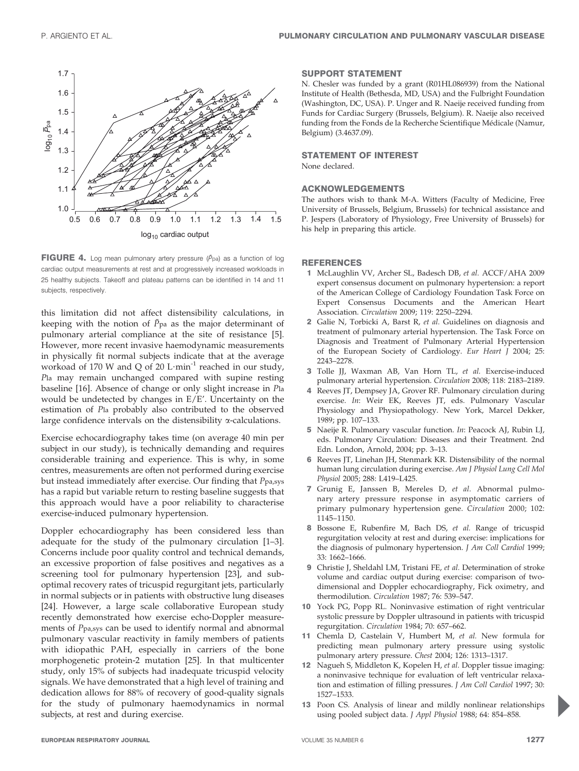

FIGURE 4. Log mean pulmonary artery pressure  $(\bar{P}_{\text{pa}})$  as a function of log cardiac output measurements at rest and at progressively increased workloads in 25 healthy subjects. Takeoff and plateau patterns can be identified in 14 and 11 subjects, respectively.

this limitation did not affect distensibility calculations, in keeping with the notion of  $\bar{P}_{pa}$  as the major determinant of pulmonary arterial compliance at the site of resistance [5]. However, more recent invasive haemodynamic measurements in physically fit normal subjects indicate that at the average workoad of 170 W and Q of 20  $L \cdot min^{-1}$  reached in our study, Pla may remain unchanged compared with supine resting baseline [16]. Absence of change or only slight increase in Pla would be undetected by changes in E/E'. Uncertainty on the estimation of Pla probably also contributed to the observed large confidence intervals on the distensibility  $\alpha$ -calculations.

Exercise echocardiography takes time (on average 40 min per subject in our study), is technically demanding and requires considerable training and experience. This is why, in some centres, measurements are often not performed during exercise but instead immediately after exercise. Our finding that Ppa,sys has a rapid but variable return to resting baseline suggests that this approach would have a poor reliability to characterise exercise-induced pulmonary hypertension.

Doppler echocardiography has been considered less than adequate for the study of the pulmonary circulation [1–3]. Concerns include poor quality control and technical demands, an excessive proportion of false positives and negatives as a screening tool for pulmonary hypertension [23], and suboptimal recovery rates of tricuspid regurgitant jets, particularly in normal subjects or in patients with obstructive lung diseases [24]. However, a large scale collaborative European study recently demonstrated how exercise echo-Doppler measurements of Ppa,sys can be used to identify normal and abnormal pulmonary vascular reactivity in family members of patients with idiopathic PAH, especially in carriers of the bone morphogenetic protein-2 mutation [25]. In that multicenter study, only 15% of subjects had inadequate tricuspid velocity signals. We have demonstrated that a high level of training and dedication allows for 88% of recovery of good-quality signals for the study of pulmonary haemodynamics in normal subjects, at rest and during exercise.

## SUPPORT STATEMENT

N. Chesler was funded by a grant (R01HL086939) from the National Institute of Health (Bethesda, MD, USA) and the Fulbright Foundation (Washington, DC, USA). P. Unger and R. Naeije received funding from Funds for Cardiac Surgery (Brussels, Belgium). R. Naeije also received funding from the Fonds de la Recherche Scientifique Médicale (Namur, Belgium) (3.4637.09).

#### STATEMENT OF INTEREST

None declared.

### ACKNOWLEDGEMENTS

The authors wish to thank M-A. Witters (Faculty of Medicine, Free University of Brussels, Belgium, Brussels) for technical assistance and P. Jespers (Laboratory of Physiology, Free University of Brussels) for his help in preparing this article.

#### **REFERENCES**

- 1 McLaughlin VV, Archer SL, Badesch DB, et al. ACCF/AHA 2009 expert consensus document on pulmonary hypertension: a report of the American College of Cardiology Foundation Task Force on Expert Consensus Documents and the American Heart Association. Circulation 2009; 119: 2250–2294.
- 2 Galie N, Torbicki A, Barst R, et al. Guidelines on diagnosis and treatment of pulmonary arterial hypertension. The Task Force on Diagnosis and Treatment of Pulmonary Arterial Hypertension of the European Society of Cardiology. Eur Heart J 2004; 25: 2243–2278.
- 3 Tolle JJ, Waxman AB, Van Horn TL, et al. Exercise-induced pulmonary arterial hypertension. Circulation 2008; 118: 2183–2189.
- Reeves JT, Dempsey JA, Grover RF. Pulmonary circulation during exercise. In: Weir EK, Reeves JT, eds. Pulmonary Vascular Physiology and Physiopathology. New York, Marcel Dekker, 1989; pp. 107–133.
- 5 Naeije R. Pulmonary vascular function. In: Peacock AJ, Rubin LJ, eds. Pulmonary Circulation: Diseases and their Treatment. 2nd Edn. London, Arnold, 2004; pp. 3–13.
- 6 Reeves JT, Linehan JH, Stenmark KR. Distensibility of the normal human lung circulation during exercise. Am J Physiol Lung Cell Mol Physiol 2005; 288: L419–L425.
- 7 Grunig E, Janssen B, Mereles D, et al. Abnormal pulmonary artery pressure response in asymptomatic carriers of primary pulmonary hypertension gene. Circulation 2000; 102: 1145–1150.
- 8 Bossone E, Rubenfire M, Bach DS, et al. Range of tricuspid regurgitation velocity at rest and during exercise: implications for the diagnosis of pulmonary hypertension. J Am Coll Cardiol 1999; 33: 1662–1666.
- 9 Christie J, Sheldahl LM, Tristani FE, et al. Determination of stroke volume and cardiac output during exercise: comparison of twodimensional and Doppler echocardiography, Fick oximetry, and thermodilution. Circulation 1987; 76: 539–547.
- 10 Yock PG, Popp RL. Noninvasive estimation of right ventricular systolic pressure by Doppler ultrasound in patients with tricuspid regurgitation. Circulation 1984; 70: 657–662.
- 11 Chemla D, Castelain V, Humbert M, et al. New formula for predicting mean pulmonary artery pressure using systolic pulmonary artery pressure. Chest 2004; 126: 1313–1317.
- 12 Nagueh S, Middleton K, Kopelen H, et al. Doppler tissue imaging: a noninvasive technique for evaluation of left ventricular relaxation and estimation of filling pressures. J Am Coll Cardiol 1997; 30: 1527–1533.
- 13 Poon CS. Analysis of linear and mildly nonlinear relationships using pooled subject data. J Appl Physiol 1988; 64: 854–858.

P